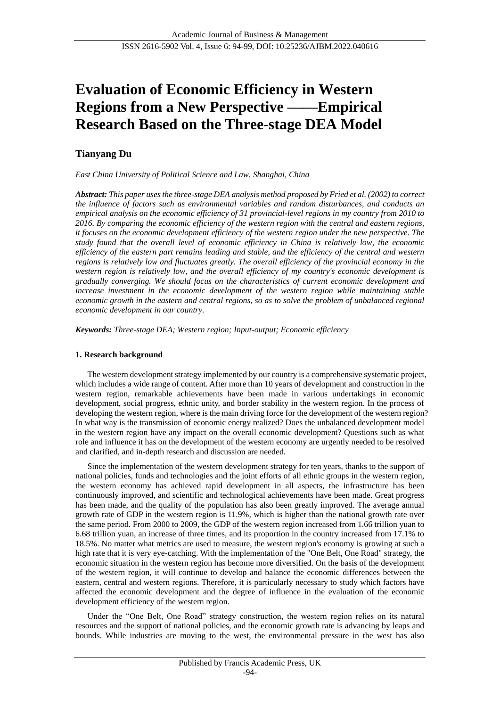# **Evaluation of Economic Efficiency in Western Regions from a New Perspective ——Empirical Research Based on the Three-stage DEA Model**

## **Tianyang Du**

*East China University of Political Science and Law, Shanghai, China*

*Abstract: This paper uses the three-stage DEA analysis method proposed by Fried et al. (2002) to correct the influence of factors such as environmental variables and random disturbances, and conducts an empirical analysis on the economic efficiency of 31 provincial-level regions in my country from 2010 to 2016. By comparing the economic efficiency of the western region with the central and eastern regions, it focuses on the economic development efficiency of the western region under the new perspective. The study found that the overall level of economic efficiency in China is relatively low, the economic efficiency of the eastern part remains leading and stable, and the efficiency of the central and western regions is relatively low and fluctuates greatly. The overall efficiency of the provincial economy in the western region is relatively low, and the overall efficiency of my country's economic development is gradually converging. We should focus on the characteristics of current economic development and increase investment in the economic development of the western region while maintaining stable economic growth in the eastern and central regions, so as to solve the problem of unbalanced regional economic development in our country.*

*Keywords: Three-stage DEA; Western region; Input-output; Economic efficiency*

## **1. Research background**

The western development strategy implemented by our country is a comprehensive systematic project, which includes a wide range of content. After more than 10 years of development and construction in the western region, remarkable achievements have been made in various undertakings in economic development, social progress, ethnic unity, and border stability in the western region. In the process of developing the western region, where is the main driving force for the development of the western region? In what way is the transmission of economic energy realized? Does the unbalanced development model in the western region have any impact on the overall economic development? Questions such as what role and influence it has on the development of the western economy are urgently needed to be resolved and clarified, and in-depth research and discussion are needed.

Since the implementation of the western development strategy for ten years, thanks to the support of national policies, funds and technologies and the joint efforts of all ethnic groups in the western region, the western economy has achieved rapid development in all aspects, the infrastructure has been continuously improved, and scientific and technological achievements have been made. Great progress has been made, and the quality of the population has also been greatly improved. The average annual growth rate of GDP in the western region is 11.9%, which is higher than the national growth rate over the same period. From 2000 to 2009, the GDP of the western region increased from 1.66 trillion yuan to 6.68 trillion yuan, an increase of three times, and its proportion in the country increased from 17.1% to 18.5%. No matter what metrics are used to measure, the western region's economy is growing at such a high rate that it is very eye-catching. With the implementation of the "One Belt, One Road" strategy, the economic situation in the western region has become more diversified. On the basis of the development of the western region, it will continue to develop and balance the economic differences between the eastern, central and western regions. Therefore, it is particularly necessary to study which factors have affected the economic development and the degree of influence in the evaluation of the economic development efficiency of the western region.

Under the "One Belt, One Road" strategy construction, the western region relies on its natural resources and the support of national policies, and the economic growth rate is advancing by leaps and bounds. While industries are moving to the west, the environmental pressure in the west has also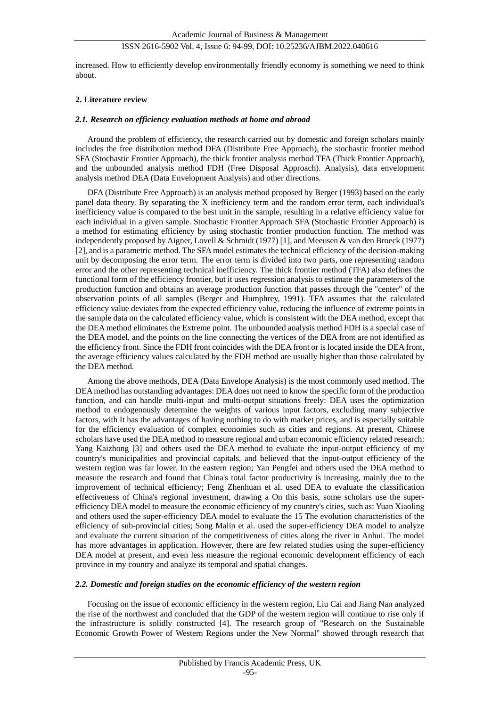increased. How to efficiently develop environmentally friendly economy is something we need to think about.

#### **2. Literature review**

#### *2.1. Research on efficiency evaluation methods at home and abroad*

Around the problem of efficiency, the research carried out by domestic and foreign scholars mainly includes the free distribution method DFA (Distribute Free Approach), the stochastic frontier method SFA (Stochastic Frontier Approach), the thick frontier analysis method TFA (Thick Frontier Approach), and the unbounded analysis method FDH (Free Disposal Approach). Analysis), data envelopment analysis method DEA (Data Envelopment Analysis) and other directions.

DFA (Distribute Free Approach) is an analysis method proposed by Berger (1993) based on the early panel data theory. By separating the X inefficiency term and the random error term, each individual's inefficiency value is compared to the best unit in the sample, resulting in a relative efficiency value for each individual in a given sample. Stochastic Frontier Approach SFA (Stochastic Frontier Approach) is a method for estimating efficiency by using stochastic frontier production function. The method was independently proposed by Aigner, Lovell & Schmidt (1977) [1], and Meeusen & van den Broeck (1977) [2], and is a parametric method. The SFA model estimates the technical efficiency of the decision-making unit by decomposing the error term. The error term is divided into two parts, one representing random error and the other representing technical inefficiency. The thick frontier method (TFA) also defines the functional form of the efficiency frontier, but it uses regression analysis to estimate the parameters of the production function and obtains an average production function that passes through the "center" of the observation points of all samples (Berger and Humphrey, 1991). TFA assumes that the calculated efficiency value deviates from the expected efficiency value, reducing the influence of extreme points in the sample data on the calculated efficiency value, which is consistent with the DEA method, except that the DEA method eliminates the Extreme point. The unbounded analysis method FDH is a special case of the DEA model, and the points on the line connecting the vertices of the DEA front are not identified as the efficiency front. Since the FDH front coincides with the DEA front or is located inside the DEA front, the average efficiency values calculated by the FDH method are usually higher than those calculated by the DEA method.

Among the above methods, DEA (Data Envelope Analysis) is the most commonly used method. The DEA method has outstanding advantages: DEA does not need to know the specific form of the production function, and can handle multi-input and multi-output situations freely: DEA uses the optimization method to endogenously determine the weights of various input factors, excluding many subjective factors, with It has the advantages of having nothing to do with market prices, and is especially suitable for the efficiency evaluation of complex economies such as cities and regions. At present, Chinese scholars have used the DEA method to measure regional and urban economic efficiency related research: Yang Kaizhong [3] and others used the DEA method to evaluate the input-output efficiency of my country's municipalities and provincial capitals, and believed that the input-output efficiency of the western region was far lower. In the eastern region; Yan Pengfei and others used the DEA method to measure the research and found that China's total factor productivity is increasing, mainly due to the improvement of technical efficiency; Feng Zhenhuan et al. used DEA to evaluate the classification effectiveness of China's regional investment, drawing a On this basis, some scholars use the superefficiency DEA model to measure the economic efficiency of my country's cities, such as: Yuan Xiaoling and others used the super-efficiency DEA model to evaluate the 15 The evolution characteristics of the efficiency of sub-provincial cities; Song Malin et al. used the super-efficiency DEA model to analyze and evaluate the current situation of the competitiveness of cities along the river in Anhui. The model has more advantages in application. However, there are few related studies using the super-efficiency DEA model at present, and even less measure the regional economic development efficiency of each province in my country and analyze its temporal and spatial changes.

## *2.2. Domestic and foreign studies on the economic efficiency of the western region*

Focusing on the issue of economic efficiency in the western region, Liu Cai and Jiang Nan analyzed the rise of the northwest and concluded that the GDP of the western region will continue to rise only if the infrastructure is solidly constructed [4]. The research group of "Research on the Sustainable Economic Growth Power of Western Regions under the New Normal" showed through research that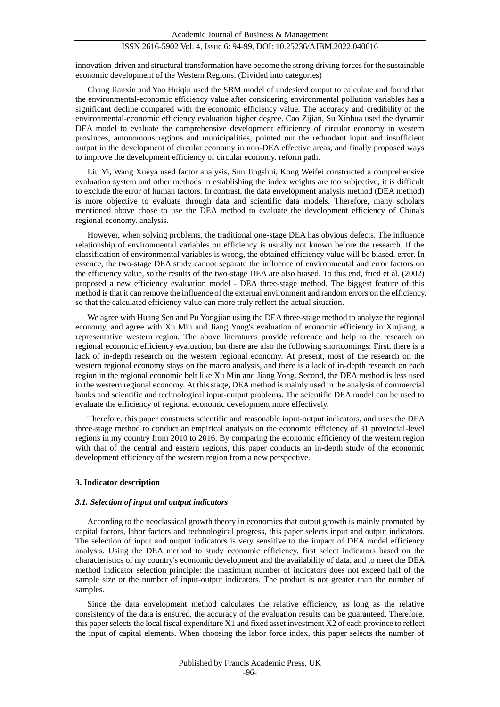innovation-driven and structural transformation have become the strong driving forces for the sustainable economic development of the Western Regions. (Divided into categories)

Chang Jianxin and Yao Huiqin used the SBM model of undesired output to calculate and found that the environmental-economic efficiency value after considering environmental pollution variables has a significant decline compared with the economic efficiency value. The accuracy and credibility of the environmental-economic efficiency evaluation higher degree. Cao Zijian, Su Xinhua used the dynamic DEA model to evaluate the comprehensive development efficiency of circular economy in western provinces, autonomous regions and municipalities, pointed out the redundant input and insufficient output in the development of circular economy in non-DEA effective areas, and finally proposed ways to improve the development efficiency of circular economy. reform path.

Liu Yi, Wang Xueya used factor analysis, Sun Jingshui, Kong Weifei constructed a comprehensive evaluation system and other methods in establishing the index weights are too subjective, it is difficult to exclude the error of human factors. In contrast, the data envelopment analysis method (DEA method) is more objective to evaluate through data and scientific data models. Therefore, many scholars mentioned above chose to use the DEA method to evaluate the development efficiency of China's regional economy. analysis.

However, when solving problems, the traditional one-stage DEA has obvious defects. The influence relationship of environmental variables on efficiency is usually not known before the research. If the classification of environmental variables is wrong, the obtained efficiency value will be biased. error. In essence, the two-stage DEA study cannot separate the influence of environmental and error factors on the efficiency value, so the results of the two-stage DEA are also biased. To this end, fried et al. (2002) proposed a new efficiency evaluation model - DEA three-stage method. The biggest feature of this method is that it can remove the influence of the external environment and random errors on the efficiency, so that the calculated efficiency value can more truly reflect the actual situation.

We agree with Huang Sen and Pu Yongjian using the DEA three-stage method to analyze the regional economy, and agree with Xu Min and Jiang Yong's evaluation of economic efficiency in Xinjiang, a representative western region. The above literatures provide reference and help to the research on regional economic efficiency evaluation, but there are also the following shortcomings: First, there is a lack of in-depth research on the western regional economy. At present, most of the research on the western regional economy stays on the macro analysis, and there is a lack of in-depth research on each region in the regional economic belt like Xu Min and Jiang Yong. Second, the DEA method is less used in the western regional economy. At this stage, DEA method is mainly used in the analysis of commercial banks and scientific and technological input-output problems. The scientific DEA model can be used to evaluate the efficiency of regional economic development more effectively.

Therefore, this paper constructs scientific and reasonable input-output indicators, and uses the DEA three-stage method to conduct an empirical analysis on the economic efficiency of 31 provincial-level regions in my country from 2010 to 2016. By comparing the economic efficiency of the western region with that of the central and eastern regions, this paper conducts an in-depth study of the economic development efficiency of the western region from a new perspective.

#### **3. Indicator description**

#### *3.1. Selection of input and output indicators*

According to the neoclassical growth theory in economics that output growth is mainly promoted by capital factors, labor factors and technological progress, this paper selects input and output indicators. The selection of input and output indicators is very sensitive to the impact of DEA model efficiency analysis. Using the DEA method to study economic efficiency, first select indicators based on the characteristics of my country's economic development and the availability of data, and to meet the DEA method indicator selection principle: the maximum number of indicators does not exceed half of the sample size or the number of input-output indicators. The product is not greater than the number of samples.

Since the data envelopment method calculates the relative efficiency, as long as the relative consistency of the data is ensured, the accuracy of the evaluation results can be guaranteed. Therefore, this paper selects the local fiscal expenditure X1 and fixed asset investment X2 of each province to reflect the input of capital elements. When choosing the labor force index, this paper selects the number of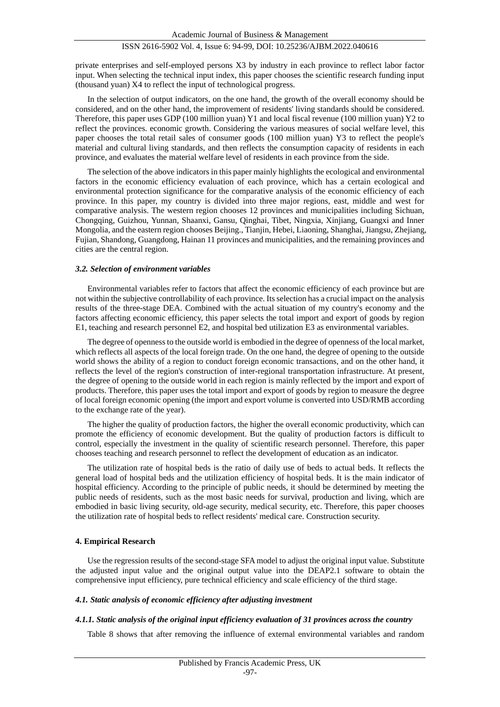private enterprises and self-employed persons X3 by industry in each province to reflect labor factor input. When selecting the technical input index, this paper chooses the scientific research funding input (thousand yuan) X4 to reflect the input of technological progress.

In the selection of output indicators, on the one hand, the growth of the overall economy should be considered, and on the other hand, the improvement of residents' living standards should be considered. Therefore, this paper uses GDP (100 million yuan) Y1 and local fiscal revenue (100 million yuan) Y2 to reflect the provinces. economic growth. Considering the various measures of social welfare level, this paper chooses the total retail sales of consumer goods (100 million yuan) Y3 to reflect the people's material and cultural living standards, and then reflects the consumption capacity of residents in each province, and evaluates the material welfare level of residents in each province from the side.

The selection of the above indicators in this paper mainly highlights the ecological and environmental factors in the economic efficiency evaluation of each province, which has a certain ecological and environmental protection significance for the comparative analysis of the economic efficiency of each province. In this paper, my country is divided into three major regions, east, middle and west for comparative analysis. The western region chooses 12 provinces and municipalities including Sichuan, Chongqing, Guizhou, Yunnan, Shaanxi, Gansu, Qinghai, Tibet, Ningxia, Xinjiang, Guangxi and Inner Mongolia, and the eastern region chooses Beijing., Tianjin, Hebei, Liaoning, Shanghai, Jiangsu, Zhejiang, Fujian, Shandong, Guangdong, Hainan 11 provinces and municipalities, and the remaining provinces and cities are the central region.

#### *3.2. Selection of environment variables*

Environmental variables refer to factors that affect the economic efficiency of each province but are not within the subjective controllability of each province. Its selection has a crucial impact on the analysis results of the three-stage DEA. Combined with the actual situation of my country's economy and the factors affecting economic efficiency, this paper selects the total import and export of goods by region E1, teaching and research personnel E2, and hospital bed utilization E3 as environmental variables.

The degree of openness to the outside world is embodied in the degree of openness of the local market, which reflects all aspects of the local foreign trade. On the one hand, the degree of opening to the outside world shows the ability of a region to conduct foreign economic transactions, and on the other hand, it reflects the level of the region's construction of inter-regional transportation infrastructure. At present, the degree of opening to the outside world in each region is mainly reflected by the import and export of products. Therefore, this paper uses the total import and export of goods by region to measure the degree of local foreign economic opening (the import and export volume is converted into USD/RMB according to the exchange rate of the year).

The higher the quality of production factors, the higher the overall economic productivity, which can promote the efficiency of economic development. But the quality of production factors is difficult to control, especially the investment in the quality of scientific research personnel. Therefore, this paper chooses teaching and research personnel to reflect the development of education as an indicator.

The utilization rate of hospital beds is the ratio of daily use of beds to actual beds. It reflects the general load of hospital beds and the utilization efficiency of hospital beds. It is the main indicator of hospital efficiency. According to the principle of public needs, it should be determined by meeting the public needs of residents, such as the most basic needs for survival, production and living, which are embodied in basic living security, old-age security, medical security, etc. Therefore, this paper chooses the utilization rate of hospital beds to reflect residents' medical care. Construction security.

#### **4. Empirical Research**

Use the regression results of the second-stage SFA model to adjust the original input value. Substitute the adjusted input value and the original output value into the DEAP2.1 software to obtain the comprehensive input efficiency, pure technical efficiency and scale efficiency of the third stage.

#### *4.1. Static analysis of economic efficiency after adjusting investment*

#### *4.1.1. Static analysis of the original input efficiency evaluation of 31 provinces across the country*

Table 8 shows that after removing the influence of external environmental variables and random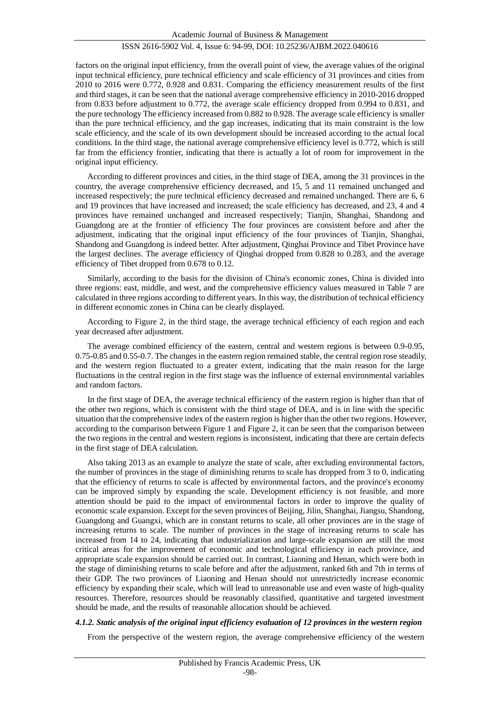factors on the original input efficiency, from the overall point of view, the average values of the original input technical efficiency, pure technical efficiency and scale efficiency of 31 provinces and cities from 2010 to 2016 were 0.772, 0.928 and 0.831. Comparing the efficiency measurement results of the first and third stages, it can be seen that the national average comprehensive efficiency in 2010-2016 dropped from 0.833 before adjustment to 0.772, the average scale efficiency dropped from 0.994 to 0.831, and the pure technology The efficiency increased from 0.882 to 0.928. The average scale efficiency is smaller than the pure technical efficiency, and the gap increases, indicating that its main constraint is the low scale efficiency, and the scale of its own development should be increased according to the actual local conditions. In the third stage, the national average comprehensive efficiency level is 0.772, which is still far from the efficiency frontier, indicating that there is actually a lot of room for improvement in the original input efficiency.

According to different provinces and cities, in the third stage of DEA, among the 31 provinces in the country, the average comprehensive efficiency decreased, and 15, 5 and 11 remained unchanged and increased respectively; the pure technical efficiency decreased and remained unchanged. There are 6, 6 and 19 provinces that have increased and increased; the scale efficiency has decreased, and 23, 4 and 4 provinces have remained unchanged and increased respectively; Tianjin, Shanghai, Shandong and Guangdong are at the frontier of efficiency The four provinces are consistent before and after the adjustment, indicating that the original input efficiency of the four provinces of Tianjin, Shanghai, Shandong and Guangdong is indeed better. After adjustment, Qinghai Province and Tibet Province have the largest declines. The average efficiency of Qinghai dropped from 0.828 to 0.283, and the average efficiency of Tibet dropped from 0.678 to 0.12.

Similarly, according to the basis for the division of China's economic zones, China is divided into three regions: east, middle, and west, and the comprehensive efficiency values measured in Table 7 are calculated in three regions according to different years. In this way, the distribution of technical efficiency in different economic zones in China can be clearly displayed.

According to Figure 2, in the third stage, the average technical efficiency of each region and each year decreased after adjustment.

The average combined efficiency of the eastern, central and western regions is between 0.9-0.95, 0.75-0.85 and 0.55-0.7. The changes in the eastern region remained stable, the central region rose steadily, and the western region fluctuated to a greater extent, indicating that the main reason for the large fluctuations in the central region in the first stage was the influence of external environmental variables and random factors.

In the first stage of DEA, the average technical efficiency of the eastern region is higher than that of the other two regions, which is consistent with the third stage of DEA, and is in line with the specific situation that the comprehensive index of the eastern region is higher than the other two regions. However, according to the comparison between Figure 1 and Figure 2, it can be seen that the comparison between the two regions in the central and western regions is inconsistent, indicating that there are certain defects in the first stage of DEA calculation.

Also taking 2013 as an example to analyze the state of scale, after excluding environmental factors, the number of provinces in the stage of diminishing returns to scale has dropped from 3 to 0, indicating that the efficiency of returns to scale is affected by environmental factors, and the province's economy can be improved simply by expanding the scale. Development efficiency is not feasible, and more attention should be paid to the impact of environmental factors in order to improve the quality of economic scale expansion. Except for the seven provinces of Beijing, Jilin, Shanghai, Jiangsu, Shandong, Guangdong and Guangxi, which are in constant returns to scale, all other provinces are in the stage of increasing returns to scale. The number of provinces in the stage of increasing returns to scale has increased from 14 to 24, indicating that industrialization and large-scale expansion are still the most critical areas for the improvement of economic and technological efficiency in each province, and appropriate scale expansion should be carried out. In contrast, Liaoning and Henan, which were both in the stage of diminishing returns to scale before and after the adjustment, ranked 6th and 7th in terms of their GDP. The two provinces of Liaoning and Henan should not unrestrictedly increase economic efficiency by expanding their scale, which will lead to unreasonable use and even waste of high-quality resources. Therefore, resources should be reasonably classified, quantitative and targeted investment should be made, and the results of reasonable allocation should be achieved.

#### *4.1.2. Static analysis of the original input efficiency evaluation of 12 provinces in the western region*

From the perspective of the western region, the average comprehensive efficiency of the western